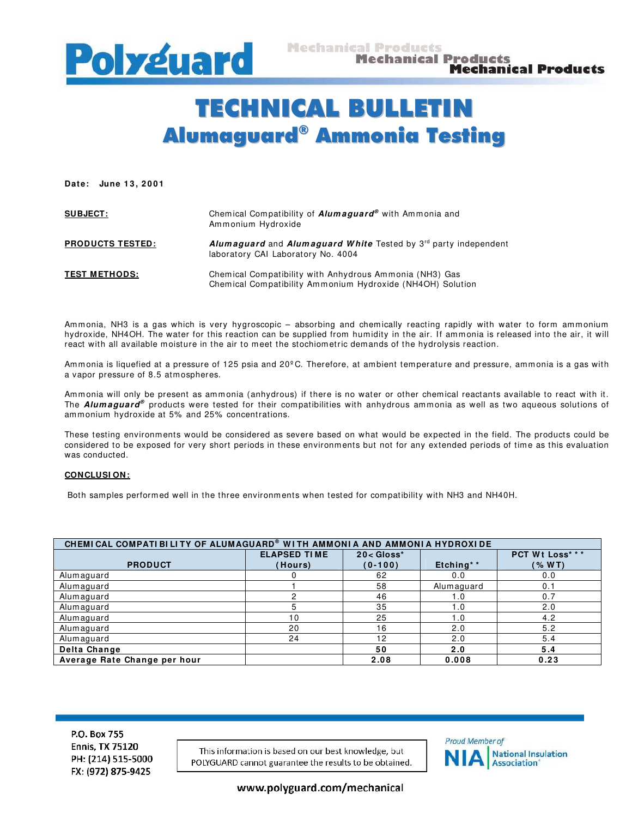

## TECHNICAL BULLETIN Alumaguard ® Ammonia Testing

Date: June 13, 2001

| <b>SUBJECT:</b>         | Chemical Compatibility of <b>Alumaguard</b> <sup>®</sup> with Ammonia and<br>Ammonium Hydroxide                          |
|-------------------------|--------------------------------------------------------------------------------------------------------------------------|
| <b>PRODUCTS TESTED:</b> | <b>Alumaguard</b> and <b>Alumaguard White</b> Tested by $3^{rd}$ party independent<br>laboratory CAI Laboratory No. 4004 |
| <b>TEST METHODS:</b>    | Chemical Compatibility with Anhydrous Ammonia (NH3) Gas<br>Chemical Compatibility Ammonium Hydroxide (NH4OH) Solution    |

Ammonia, NH3 is a gas which is very hygroscopic – absorbing and chemically reacting rapidly with water to form ammonium hydroxide, NH4OH. The water for this reaction can be supplied from humidity in the air. If ammonia is released into the air, it will react with all available moisture in the air to meet the stochiometric demands of the hydrolysis reaction.

Ammonia is liquefied at a pressure of 125 psia and 20°C. Therefore, at ambient temperature and pressure, ammonia is a gas with a vapor pressure of 8.5 atm ospheres.

Ammonia will only be present as ammonia (anhydrous) if there is no water or other chemical reactants available to react with it. The *Alumaguard®* products were tested for their compatibilities with anhydrous ammonia as well as two aqueous solutions of ammonium hydroxide at 5% and 25% concentrations.

These testing environments would be considered as severe based on what would be expected in the field. The products could be considered to be exposed for very short periods in these environments but not for any extended periods of tim e as this evaluation was conducted.

## **CONCLUSI ON:**

Both sam ples perform ed well in the three environm ents when tested for compatibility with NH3 and NH40H.

| CHEMICAL COMPATIBILITY OF ALUMAGUARD® WITH AMMONIA AND AMMONIA HYDROXIDE |                     |               |            |                  |  |  |
|--------------------------------------------------------------------------|---------------------|---------------|------------|------------------|--|--|
|                                                                          | <b>ELAPSED TIME</b> | $20 <$ Gloss* |            | PCT Wt Loss* * * |  |  |
| <b>PRODUCT</b>                                                           | (Hours)             | $(0-100)$     | Etching**  | (% WT)           |  |  |
| Alumaguard                                                               |                     | 62            | 0.0        | 0.0              |  |  |
| Alumaguard                                                               |                     | 58            | Alumaguard | 0.1              |  |  |
| Alumaguard                                                               |                     | 46            | 1.0        | 0.7              |  |  |
| Alumaguard                                                               | 5                   | 35            | 1.0        | 2.0              |  |  |
| Alumaguard                                                               | 10                  | 25            | 1.0        | 4.2              |  |  |
| Alumaguard                                                               | 20                  | 16            | 2.0        | 5.2              |  |  |
| Alumaguard                                                               | 24                  | 12            | 2.0        | 5.4              |  |  |
| Delta Change                                                             |                     | 50            | 2.0        | 5.4              |  |  |
| Average Rate Change per hour                                             |                     | 2.08          | 0.008      | 0.23             |  |  |

P.O. Box 755 **Ennis, TX 75120** PH: (214) 515-5000 FX: (972) 875-9425

This information is based on our best knowledge, but POLYGUARD cannot guarantee the results to be obtained.



www.polyguard.com/mechanical